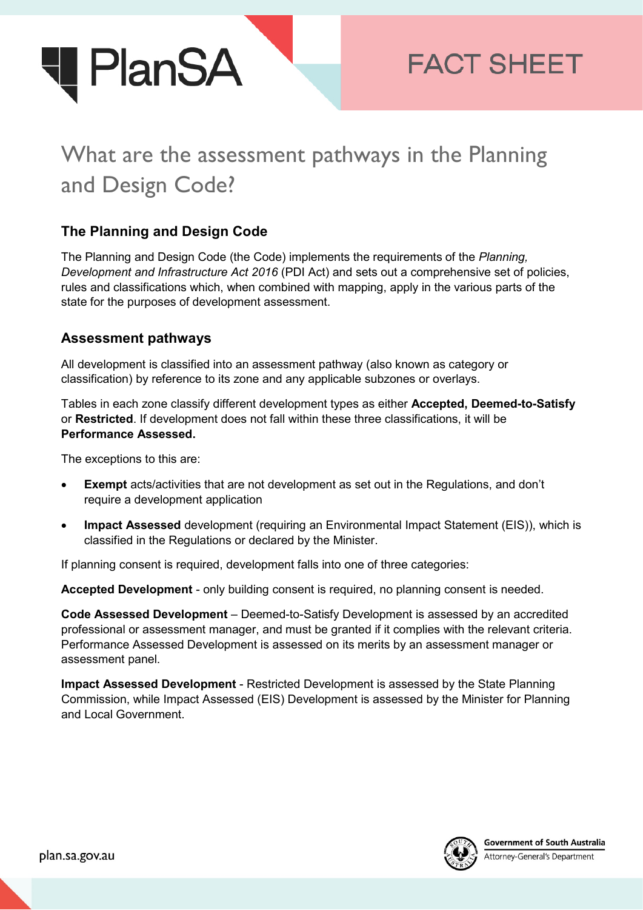

# What are the assessment pathways in the Planning and Design Code?

## **The Planning and Design Code**

The Planning and Design Code (the Code) implements the requirements of the *Planning, Development and Infrastructure Act 2016* (PDI Act) and sets out a comprehensive set of policies, rules and classifications which, when combined with mapping, apply in the various parts of the state for the purposes of development assessment.

#### **Assessment pathways**

All development is classified into an assessment pathway (also known as category or classification) by reference to its zone and any applicable subzones or overlays.

Tables in each zone classify different development types as either **Accepted, Deemed-to-Satisfy** or **Restricted**. If development does not fall within these three classifications, it will be **Performance Assessed.**

The exceptions to this are:

- **Exempt** acts/activities that are not development as set out in the Regulations, and don't require a development application
- **Impact Assessed** development (requiring an Environmental Impact Statement (EIS)), which is classified in the Regulations or declared by the Minister.

If planning consent is required, development falls into one of three categories:

**Accepted Development** - only building consent is required, no planning consent is needed.

**Code Assessed Development** – Deemed-to-Satisfy Development is assessed by an accredited professional or assessment manager, and must be granted if it complies with the relevant criteria. Performance Assessed Development is assessed on its merits by an assessment manager or assessment panel.

**Impact Assessed Development** - Restricted Development is assessed by the State Planning Commission, while Impact Assessed (EIS) Development is assessed by the Minister for Planning and Local Government.



Attorney-General's Department